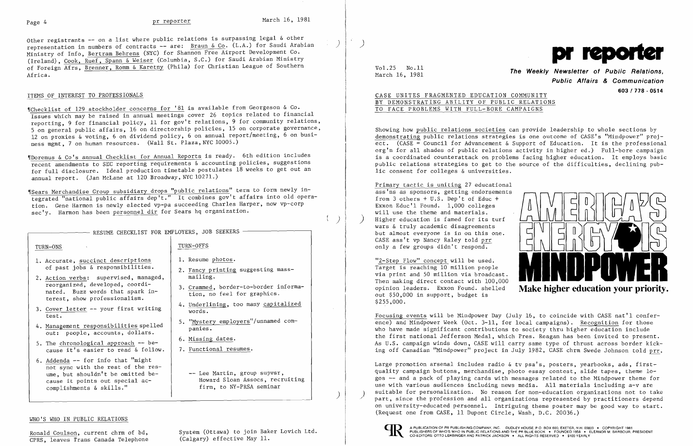$\left( \begin{array}{c} \end{array} \right)$ 

 $\sum$ 

Other registrants -- on a list where public relations is surpassing legal & other representation in numbers of contracts -- are: Braun & Co. (L.A.) for Saudi Arabian Ministry of Info, Bertram Behrens (NYC) for Shannon Free Airport Development Co. (Ireland), Cook, Ruef, Spann & Weiser (Columbia, S.C.) for Saudi Arabian Ministry of Foreign Afrs, Brenner, Romm & Karetny (Phila) for Christian League of Southern Africa.

### ITEMS OF INTEREST TO PROFESSIONALS

"Checklist of 129 stockholder concerns for '81 is available from Georgeson & Co. Issues which may be raised in annual meetings cover 26 topics related to financial reporting, 9 for financial policy, 11 for gov't relations, 9 for community relations, 5 on general public affairs, 16 on directorship policies, 15 on corporate governance, 12 on proxies & voting, 6 on dividend policy, 6 on annual report/meeting, 6 on business mgmt, 7 on human resources. (Wall St. Plaza, NYC 10005.)

TURN-ONS TURN-OFFS 1. Resume photos. of past jobs & responsibilities. 1. Accurate, succinct descriptions 2. Fancy printing suggesting massmailing. reorganized, developed, coordi 2. Action verbs: supervised, managed, 3. Crammed, border-to-border informa-<br>tion, no feel for graphics. nated. Buzz words that spark in-<br>terest, show professionalism.<br>4. Underlining, too many capitalized 3. Cover letter -- your first writing  $\frac{3. \text{Coker}}{\text{words}}$ . test. 5. "Mystery employers"/unnamed com-4. Management responsibilities spelled panies.<br>out: people, accounts, dollars. 6. Missing dates. 5. The chronological approach -- because it's easier to read & follow. 7. Functional resumes. 6. Addenda -- for info that "might not sync with the rest of the res-

-- Lee Martin, group supvsr, Howard Sloan Assocs, recruiting firm, to NY-PRSA seminar

'IDoremus & Co's annual Checklist for Annual Reports is ready. 6th edition includes recent amendments to SEC reporting requirements & accounting policies, suggestions for full disclosure. Ideal production timetable postulates 18 weeks to get out an annual report. (Jan McLane at 120 Broadway, NYC 10271.)

'ISears Merchandise Group subsidiary drops "public relations" term to form newly integrated "national public affairs dep't." It combines gov't affairs into old operation. Gene Harmon is newly elected vp-pa succeeding Charles Harper, now vp-corp sec'y. Harmon has been personnel dir for Sears hq organization.

- RESUME CHECKLIST FOR EMPLOYERS, JOB SEEKERS

Vol. 25 No. 11 **The Weekly Newsletter of Public Relations**, March 16, 1981 **Public Affairs & Communication 603 I 778 - 0514** 

ume, but shouldn't be omitted be

cause it points out special ac-<br>complishments & skills."

Ronald Coulson, current chrm of bd,<br>
CPRS, leaves Trans Canada Telephone (Calgary) effective May 11.

)

### WHO'S WHO IN PUBLIC RELATIONS

CPRS, leaves Trans Canada Telephone

Large promotion arsenal includes radio & tv psa's, posters, yearbooks, ads, firstquality campaign buttons, merchandise, photo essay contest, slide tapes, theme logos -- and a pack of playing cards with messages related to the Mindpower theme for use with various audiences including news media. All materials including a-v are suitable for personalization. No reason for non-education organizations not to take part, since the profession and all organizations represented by practitioners depend on university-educated personnel. Intriguing theme poster may be good way to start. (Request one from CASE, 11 Dupont Circle, Wash, D.C. 20036.)



)



## CASE UNITES FRAGMENTED EDUCATION COMMUNITY BY DEMONSTRATING ABILITY OF PUBLIC RELATIONS TO FACE PROBLEMS WITH FULL-BORE CAMPAIGNS

Showing how public relations societies can provide leadership to whole sections by demonstrating public relations strategies is one outcome of CASE's "Mindpower" project. (CASE = Council for Advancement & Support of Education. It is the professional org'n for all shades of public relations activity in higher ed.) Full-bore campaign is a coordinated counterattack on problems facing higher education. It employs basic public relations strategies to get to the source of the difficulties, declining public consent for colleges & universities.

Primary tactic is uniting 27 educational ass'ns as sponsors, getting endorsements from 3 others + U.S. Dep't of Educ + Exxon Educ'l Found. 1,000 colleges will use the theme and materials. Higher education is famed will use the theme and materials.<br>Higher education is famed for its turf<br>wars & truly academic disagreements but almost everyone is in on this one.



"2-Step Flow" concept will be used. Target is reaching 10 million people Then making direct contact with 100,000 via print and 50 million via broadcast. opinion leaders. Exxon Found. shelled out \$50,000 in support, budget is \$255,000.

Focusing events will be Mindpower Day (July 16, to coincide with CASE nat'l conference) and Mindpower Week (Oct. 3-11, for local campaigns). Recognition for those who have made significant contributions to society thru higher education include the first national Jefferson Medal, which Pres. Reagan has been invited to present. As U.S. campaign winds down, CASE will carry same type of thrust across border kicking off Canadian "Mindpower" project in July 1982, CASE chrm Swede Johnson told prr.